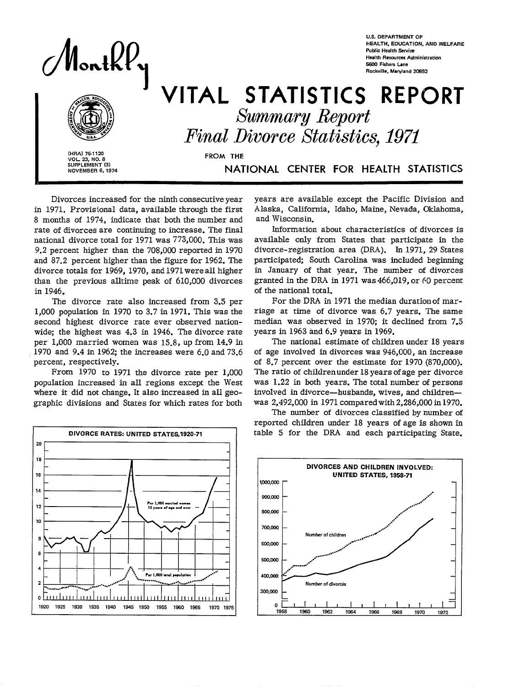

**U.S. DEPARTMENT OF HEALTH, EDUCATION, AND WELFARE Public Health Service Health Re\$wrces Administration 5K0 Fishers Lane Rockville, Maryland 2W52** 

# $\begin{array}{c}\n\begin{array}{c}\n\text{WRA}\n\end{array}\n\end{array}\n\end{array}\n\quad\n\begin{array}{c}\n\text{VITA} \\
\text{Fina}\n\end{array}$ STATISTICS REPORT *Summary Report*

**Final**  *Divorce* **Natisties, 1971** 

**I (HRA) 75-1120**<br>
VOL. 23, NO. 8<br>
SUPPLEMENT (3)<br>
NOVEMBER 6, 1974<br> **I CONTRESS CONTRESS ON THE RAIN CONTRESS OF A SUPPLY OF THE RAIN** (HRA) 75-1120<br>VOL. 23, NO. 8<br>**VOL. 23, NO. 8 SUPPLEMENT (3)** NOVEMBER 6, 1974

NATIONAL CENTER FOR HEALTH STATISTICS

Divorces increased for the ninth consecutive year in 1971. Provisional data, available through the first 8 months of 1974, indicate that both the number and rate of divorces are continuing to increase. The final national divorce total for 1971 was 773,000. This was 9.2 percent higher than the 708,000 reported in 1970 and 87.2 percent higher than the figure for 1962. The divorce totals for 1969, 1970, and 1971 were all higher than the previous alltime peak of 610,000 divorces in 1946.

The divorce rate also increased from 3.5 per 1,000 population in 1970 to 3.7 in 1971. This was the second highest divorce rate ever observed nationwide; the highest was 4.3 in 1946. The divorce rate per 1,000 married women was 15.8, up from 14.9 in 1970 and 9.4 in 1962; the increases were 6.0 and 73.6 percent, respectively.

From 1970 to 1971 the divorce rate per 1,000 population increased in all regions except the West where it did not change. It also increased in all geographic divisions and States for which rates for both



years are available except the Pacific Division and Alaska, California, Idaho, Maine, Nevada, Oklahoma, and Wisconsin.

Information about characteristics of divorces is available only from States that participate in the divorce-registration area (DRA). In 1971, 29 States participated; South Carolina was included beginning in January of that year. The number of divorces granted in the DRA in 1971 was 466,019, or 60 percent of the national totaL

For the DR4 in 1971 the median duration of marriage at time of divorce was 6.7 years. The same median was observed in 1970; it declined from 7.5 years in 1963 and 6.9 years in 1969.

The national estimate of children under 18 years of age involved in divorces was 946,000, an increase of 8.7 percent over the estimate for 1970 (870,000). The ratio of children under 18 years of age per divorce was 1.22 in both years. The total number of persons involved in divorce—husbands, wives, and children was 2,492,000 in 1971 compared with 2,286,000 in 1970.

The number of divorces classified by number of reported children under 18 years of age is shown in table 5 for the DRA and each participating State.

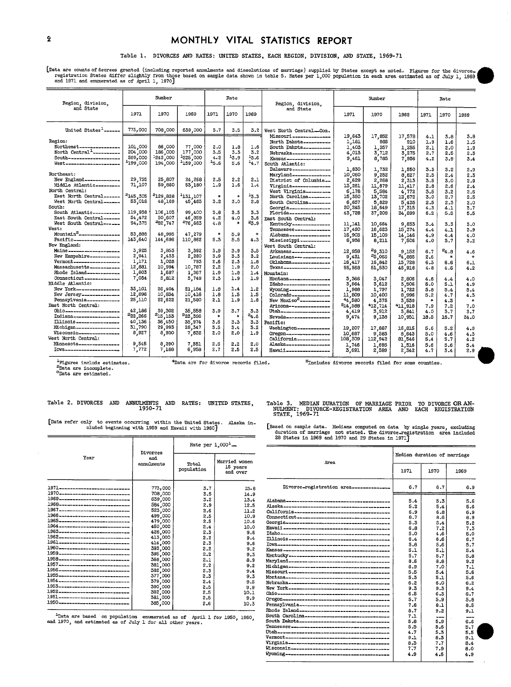## **2** MONTHLY VITAL STATISTICS REPORT

#### Table 1. DIVORCES AND RATES: UNITED STATES, EACH REGION, DIVISION, AND STATE, 1969-71

Lusta are counts or decrees granted and menoted annuments and dissolutions of marriage) supplied by States except as noted. Figures for the divorce.<br>registration States differ slightly from those based on sample data shown

| Region, division,                                                                                                                                                                                                                                                                                                                                          |                                                                                                                      | Number                                                                                                  |                                                                                                           |                                                                           | Rate                                                                   |                                                                         | Region, division.                                                                                                                                                                                                                                                                                                                                                                                                       | Number                                                                                                                           |                                                                                                                                        |                                                                                                                               |                                                                                                | Rate                                                                                               |                                                                                                |
|------------------------------------------------------------------------------------------------------------------------------------------------------------------------------------------------------------------------------------------------------------------------------------------------------------------------------------------------------------|----------------------------------------------------------------------------------------------------------------------|---------------------------------------------------------------------------------------------------------|-----------------------------------------------------------------------------------------------------------|---------------------------------------------------------------------------|------------------------------------------------------------------------|-------------------------------------------------------------------------|-------------------------------------------------------------------------------------------------------------------------------------------------------------------------------------------------------------------------------------------------------------------------------------------------------------------------------------------------------------------------------------------------------------------------|----------------------------------------------------------------------------------------------------------------------------------|----------------------------------------------------------------------------------------------------------------------------------------|-------------------------------------------------------------------------------------------------------------------------------|------------------------------------------------------------------------------------------------|----------------------------------------------------------------------------------------------------|------------------------------------------------------------------------------------------------|
| and State                                                                                                                                                                                                                                                                                                                                                  | 1971                                                                                                                 | 1970                                                                                                    | 1969                                                                                                      | 1971                                                                      | 1970                                                                   | 1969                                                                    | and State                                                                                                                                                                                                                                                                                                                                                                                                               | 1971                                                                                                                             | 1970                                                                                                                                   | 1969                                                                                                                          | 1971                                                                                           | 1970                                                                                               | 1969                                                                                           |
| United States <sup>1</sup> ------                                                                                                                                                                                                                                                                                                                          | 773,000                                                                                                              | 708,000                                                                                                 | 639,000                                                                                                   | 3.7                                                                       | 3.5                                                                    | 3.2                                                                     | West North CentralCon.                                                                                                                                                                                                                                                                                                                                                                                                  |                                                                                                                                  |                                                                                                                                        |                                                                                                                               |                                                                                                |                                                                                                    |                                                                                                |
| Region:<br>Northeast----------------<br>North Central <sup>1</sup> -----------<br>South--------------------<br>West--------------------<br>Northeast:<br>New England-------------<br>Middle Atlantic_________<br>North Central:<br>East North Central______<br>West North Central-------<br>South:<br>South Atlantic----------<br>East South Central------ | 101,000<br>204,000<br>269,000<br><sup>1</sup> 199,000<br>29,755<br>71,107<br>2145,305<br>53,018<br>119,938<br>54,472 | 86,000<br>186,000<br>1242,000<br>194,000<br>25,807<br>59,860<br>2129,828<br>48,169<br>106,103<br>50,607 | 77,000<br>177,000<br>1225,000<br>$-159,000$<br>24,268<br>53,180<br>1131,107<br>45,483<br>99,400<br>46,859 | 2.0<br>3.5<br>4.2<br>45.6<br>2.5<br>1.9<br>$\bullet$<br>3.2<br>3.8<br>4.2 | 1.8<br>3.3<br>13.9<br>5.6<br>2.2<br>1.6<br>$\ast$<br>3.0<br>3.5<br>4.0 | 1.6<br>3.2<br>13.6<br>$-4.7$<br>2.1<br>1.4<br>13.3<br>2.8<br>3.3<br>3.6 | Missouri ---------------<br>North Dakota----------<br>South Dakota_________<br>Nebraska--------------<br>Kansas-----------------<br>South Atlantic:<br>Delaware-------------<br>Maryland---------------<br>District of Columbia --<br>Virginia---------------<br>West Virginia---------<br>North Carolina________<br>South Carolina--------<br>Georgia---------------<br>Florida----------------<br>East South Central: | 19,643<br>1,181<br>1,403<br>4,013<br>9,461<br>1,830<br>10,060<br>2,629<br>13,261<br>6,178<br>15,350<br>6,657<br>20,245<br>43,728 | 17,852<br>985<br>1,357<br>3,712<br>8,785<br>1,732<br>9,252<br>2,268<br>11,879<br>s'<br>.584<br>13,702<br>5.<br>829<br>18,649<br>37,208 | 17,578<br>910<br>1,255<br>3,275<br>7,956<br>1,550<br>8,827<br>2,313<br>11,417<br>4,772<br>12,872<br>5,435<br>17,315<br>34,899 | 4.1<br>1.9<br>2.1<br>2.7<br>4.2<br>3.3<br>2.5<br>3.5<br>2.8<br>3.5<br>3.0<br>2.5<br>4.3<br>6.2 | 3.8<br>1.6<br>2.0<br>2.5<br>3.9<br>3.2<br>$2 - 4$<br>3.0<br>2,6<br>3.2<br>2.7<br>2,3<br>4.1<br>5,5 | 3.8<br>1.5<br>1.9<br>2.3<br>3.4<br>2.9<br>2.3<br>2.9<br>2.4<br>2.6<br>2.5<br>2.0<br>3.7<br>5.5 |
| West South Central------<br>West:<br>Mountain <sup>2</sup> ---------------<br>Pacific------------------                                                                                                                                                                                                                                                    | 94, 375<br>53,888<br>143,640                                                                                         | 282,747<br>48,995<br>144,696                                                                            | 276,683<br>47,279<br>110,862                                                                              | 4.8<br>$\ast$<br>5.3                                                      | 菁<br>5.9<br>5.5                                                        | 23.9<br>$\star$<br>4.3                                                  | Kentucky --------------<br>Tennessee-------------<br>Alabama ---------------<br>Mississippi ___________                                                                                                                                                                                                                                                                                                                 | 11,141<br>17,490<br>16,905<br>8,936                                                                                              | 10,664<br>16,623<br>15,109<br>8,211                                                                                                    | 9,833<br>15,374<br>14,146<br>7,506                                                                                            | 3.4<br>4.4<br>4.9<br>4.0                                                                       | 3.3<br>4.1<br>4.4<br>3.7                                                                           | 3.0<br>3.9<br>4.0<br>3.2                                                                       |
| New England:<br>Maine-------------------<br>New Hampshire-----------<br>Vermont------------------<br>Massachusetts -----------                                                                                                                                                                                                                             | 3,925<br>2,941<br>1,171<br>12,881                                                                                    | 3,853<br>2,433<br>1,028<br>10,994                                                                       | 3,392<br>2,280<br>793<br>10,787                                                                           | 3.9<br>3.9<br>2.6<br>2.2                                                  | 3.9<br>3.3<br>2.3<br>1.9                                               | 3.5<br>3.2<br>1.8<br>2.0                                                | West South Central:<br>Arkansas---------------<br>Louisiana--------------<br>Oklahoma--------------<br>$T$ exas -------------------                                                                                                                                                                                                                                                                                     | 12,959<br>9,431<br>16,417<br>55,568                                                                                              | 29.310<br>25,065<br>16,842<br>51,530                                                                                                   | 9,152<br>24,885<br>15,728<br>46,918                                                                                           | 6.7<br>2.6<br>6.3<br>4.8                                                                       | $^{24.8}$<br>$\ast$<br>6.6<br>4.6                                                                  | 4.6<br>$\ast$<br>6.1<br>4.2                                                                    |
| Rhode Island------------<br>Connecticut ______________<br>Middle Atlantic:<br>New York-----------------<br>New Jersey<br>Pennsylvania-------------                                                                                                                                                                                                         | 1,803<br>7,034<br>33,101<br>12,896<br>25,110                                                                         | 1,687<br>5,812<br>26,404<br>10,834<br>22,622                                                            | 1,267<br>5,749<br>21,184<br>10,416<br>21,580                                                              | 1.9<br>2.3<br>1.8<br>1.8<br>2.1                                           | 1.8<br>1.9<br>1.4<br>1.5<br>1.9                                        | 1.4<br>1.9<br>1.2<br>1.5<br>1.8                                         | Mountain:<br>Montana----------------<br>Idaho------------------<br>Wyoming----------------<br>Colorado---------------<br>New Mexico <sup>2</sup> <sub>mu-property</sub>                                                                                                                                                                                                                                                 | 3,366<br>3,664<br>,988<br>ı<br>,809<br>$11^{\circ}$<br>44,580                                                                    | 3,047<br>3,612<br>1,797<br>10,400<br>4,375                                                                                             | 2,806<br>3,506<br>1,722<br>8,996<br>3,539                                                                                     | 4.8<br>5.0<br>5.8<br>5.2<br>$\ast$                                                             | 4.4<br>5.1<br>5.4<br>4.7<br>4.3                                                                    | 4.0<br>4.9<br>5.4<br>4.3<br>$\ast$                                                             |
| East North Central:<br>0hi0---------------------<br>Indiana ------------------<br>Illinois-----------------<br>Michigan----------------<br>Wisconsin----------------<br>West North Central:                                                                                                                                                                | 42,186<br>222,266<br>40,136<br>31,790<br>8,927                                                                       | 39,302<br><sup>2</sup> 15.153<br>36,450<br>29,993<br>8,930                                              | 35,558<br><sup>3</sup> 23,396<br>35,974<br>28, 347<br>7,832                                               | 3.9<br>$\star$<br>3.6<br>3.5<br>2.0                                       | 3.7<br>3.3<br>3.4<br>2.0                                               | 3.3<br>$^{34.6}$<br>3.3<br>3.2<br>1.9                                   | Arizona---------------<br>Utah--------------------<br>Nevada -----------------<br>Pacific:<br>Washington------------<br>Oregon-----------------<br>California------------                                                                                                                                                                                                                                               | 514,588<br>4,419<br>9,474<br>19,207<br>10,687<br>108,309                                                                         | 412,714<br>3,912<br>9,138<br>17,887<br>9,583<br>112,942                                                                                | 411,918<br>3,841<br>10,951<br>16,815<br>8.643<br>81,546                                                                       | 7.9<br>4.0<br>18.5<br>5.6<br>5.0<br>5,4                                                        | 7.2<br>3.7<br>18.7<br>5.2<br>4.6<br>5.7                                                            | 7.0<br>3.7<br>24.0<br>4,9<br>4.3<br>4.2                                                        |
| Minnesota---------------<br>Iova---------------------                                                                                                                                                                                                                                                                                                      | 9,545<br>7,772                                                                                                       | 8,290<br>7,188                                                                                          | 7,551<br>6,958                                                                                            | 2,5<br>2.7                                                                | 2.2<br>2.5                                                             | 2.0<br>2.5                                                              | Alaska__________________<br>Hawaii _________________                                                                                                                                                                                                                                                                                                                                                                    | 1,746<br>3,691                                                                                                                   | 1,695<br>2,589                                                                                                                         | 1,516<br>2,342                                                                                                                | 5.6<br>4.7                                                                                     | 5.6<br>3.4                                                                                         | 5.4<br>2.9                                                                                     |

 $4$ Data are for divorce records filed.  $5$   $5$  includes divorce records filed for some counties.

-pata are incomplete.<br><sup>3</sup>Data are estimated.

## Table 2. DIVORCES AND ANNULMENTS AND RATES: UNITED STATES,  $1950-71$

[Data refer only to events occurring within the United States. Alaska in

|                                    | Divorces          |                     | Rate per $1.0001$                     |  |  |  |
|------------------------------------|-------------------|---------------------|---------------------------------------|--|--|--|
| Year                               | and<br>annulments | Total<br>population | Married women<br>15 years<br>and over |  |  |  |
| 1971----------------------------   | 773,000           | 3.7                 | 15.8                                  |  |  |  |
| 1970----------------------------   | 708,000           | 3.5                 | 14.9                                  |  |  |  |
| 1969 ---------------------------   | 639,000           | 3.2                 | 13.4                                  |  |  |  |
| 1968-----------------------------  | 584,000           | 2.9                 | 12.5                                  |  |  |  |
| 1967-----------------------------  | 523,000           | 2.6                 | 11.2                                  |  |  |  |
| 1966----------------------------   | 499,000           | 2.5                 | 10.9                                  |  |  |  |
| 1965----------------------------   | 479,000           | 2.5                 | 10.6                                  |  |  |  |
| 1964 ----------------------------  | 450,000           | 2.4                 | 10.0                                  |  |  |  |
| 1963----------------------------   | 428,000           | 2.3                 | 9.6                                   |  |  |  |
| 1962----------------------------   | 413,000           | 2.2                 | 9.4                                   |  |  |  |
| 1961-----------------------------  | 414,000           | 2.3                 | 9.6                                   |  |  |  |
| 1960---------------------------    | 393,000           | 2.2                 | 9.2                                   |  |  |  |
| 1959----------------------------   | 395,000           | 2.2                 | 9.3                                   |  |  |  |
| 1958----------------------------   | 368,000           | 2.1                 | 8.9                                   |  |  |  |
| 1957----------------------------   | 381,000           | 2.2                 | 9.2                                   |  |  |  |
| 1956-----------------------------  | 382,000           | 2.3                 | 9.4                                   |  |  |  |
| 1955----------------------------   | 377,000           | 2.3                 | 9.3                                   |  |  |  |
| 1954 ----------------------------- | 379,000           | 2.4                 | 9.5                                   |  |  |  |
| 1953----------------------------   | 390,000           | 2.5                 | 9.9                                   |  |  |  |
| 1952---------------------------    | 392,000           | 2.5                 | 10.1                                  |  |  |  |
| 1951 _____________________________ | 381,000           | 2.5                 | 9.9                                   |  |  |  |
|                                    | 385,000           | 2.6                 | 10.3                                  |  |  |  |

EMENTS AND RATES: UNITED-STATES, Table 3. MEDIAN-DURATION OF-MARRIAGE-PRIOR TO-DIVORCE-OR-AN-<br>NULMENT: DIVORCE-REGISTRATION AREA AND EACH REGISTRATION<br>STATE, 1969-71

**Chdd** beginnin~ with 1939 and Z&fail with 1960] [Pasedon sample data. Xediaim computed on data by single yearn, exciting duration of men'iage not stated. Tke divorceaegistwation 8rea included 2S Statm in 1969 and 1970 and 29 States in 1671]

|                                                                                    |                                                           | vace her $T'$ and $T''$ |               |                                                |                             |      |     |  |
|------------------------------------------------------------------------------------|-----------------------------------------------------------|-------------------------|---------------|------------------------------------------------|-----------------------------|------|-----|--|
| Year                                                                               | Divorces<br>and                                           |                         | Married women | Area                                           | Median duration of marriage |      |     |  |
|                                                                                    | annulments<br>Total<br>15 years<br>population<br>and over |                         |               | 1971                                           | 1970                        | 1969 |     |  |
| 1971-----------------------------                                                  | 773,000                                                   | 3.7                     | 15.8          | Divorce-registration area--------------        | 6.7                         | 6.7  | 6.9 |  |
| 1970----------------------------                                                   | 708,000                                                   | 3.5                     | 14.9          |                                                |                             |      |     |  |
| 1969 ---------------------------                                                   | 639,000                                                   | 3.2                     | 13.4          |                                                | 5.4                         | 5.3  | 5.6 |  |
| 1968-----------------------------                                                  | 584,000                                                   | 2.9                     | 12.5          |                                                | 5.2                         | 5.4  | 5.6 |  |
| 1967-----------------------------<br>1966 ----------------------------             | 523,000                                                   | 2.6                     | 11.2          |                                                | 6.9                         | 6.8  | 6.9 |  |
| 1965----------------------------                                                   | 499,000                                                   | 2.5                     | 10.9          | Connecticut ---------------------------------- | 8.7                         | 8.6  | 8.9 |  |
| 1964 ---------------------------                                                   | 479,000                                                   | 2.5                     | 10.6          |                                                | 5.3                         | 5.4  | 5.2 |  |
| 1963---------------------------                                                    | 450,000<br>428,000                                        | 2.4<br>2.3              | 10.0          |                                                | 6.8                         | 7.2  | 7.3 |  |
| 1962----------------------------                                                   | 413,000                                                   | 2.2                     | 9.6           |                                                | 5.0                         | 4.6  | 5.0 |  |
| 1961-----------------------------                                                  | 414,000                                                   | 2.3                     | 9.4           |                                                | 6.4                         | 6.6  | 6.7 |  |
| 1960---------------------------                                                    | 393,000                                                   | 2.2                     | 9.6           |                                                | 5.8                         | 5.6  | 5.7 |  |
| 1959 ----------------------------                                                  | 395,000                                                   | 2.2                     | 9.2           |                                                | 5.1                         | 5.1  | 5.4 |  |
| 1958----------------------------                                                   |                                                           |                         | 9.3           |                                                | 5.7                         | 5.7  | 5.8 |  |
| 1957-----------------------------                                                  | 368,000<br>381,000                                        | 2.1<br>2.2              | 8.9           |                                                | 8.6                         | 8.8  | 9.2 |  |
| 1956----------------------------                                                   | 382,000                                                   | 2.3                     | 9.2           |                                                | 6.9                         | 7.0  | 7.1 |  |
| 1955----------------------------                                                   | 377,000                                                   | 2.3                     | 9.4           |                                                | 5.5                         | 5.4  | 5.6 |  |
| 1954 -----------------------------                                                 | 379,000                                                   | 2.4                     | 9.3<br>9.5    |                                                | 5.3                         | 5.1  | 5.6 |  |
| 1953----------------------------                                                   | 390,000                                                   | 2.5                     |               |                                                | 6.2                         | 6.0  | 6.2 |  |
| 1952_____________________________                                                  | 392,000                                                   | 2.5                     | 9.9<br>10.1   |                                                | 9.3                         | 9.3  | 9.4 |  |
| 1951----------------------------                                                   | 381,000                                                   | 2.5                     | 9.9           |                                                | 6.5                         | 6.3  | 6.7 |  |
| 1950----------------------------                                                   | 385,000                                                   | 2.6                     | 10.3          |                                                | 5.7                         | 5.9  | 5.8 |  |
|                                                                                    |                                                           |                         |               |                                                | 7.6                         | 8.1  | 8.5 |  |
|                                                                                    |                                                           |                         |               | Rhode Island---------------------------------- | 8.7                         | 9.2  | 9.1 |  |
| <sup>1</sup> Data are based on population enumerated as of April 1 for 1950, 1960, |                                                           |                         |               | South Carolina-------------------------------- | 7.1                         | ---  | --- |  |
| and 1970, and estimated as of July 1 for all other years.                          |                                                           |                         |               | South Dakota--------------------------------   | 5.8                         | 5.9  | 6.6 |  |
|                                                                                    |                                                           |                         |               |                                                | 5.5                         | 5.6  | 5.7 |  |
|                                                                                    |                                                           |                         |               |                                                | 4.7                         | 5.3  | 5,5 |  |
|                                                                                    |                                                           |                         |               |                                                | 9.1                         | 8.3  | 9.1 |  |
|                                                                                    |                                                           |                         |               |                                                | 8.3                         | 7.7  | 8.4 |  |
|                                                                                    |                                                           |                         |               |                                                | 7:7                         | 7.9  | 8.0 |  |
|                                                                                    |                                                           |                         |               |                                                | 4.9                         | 4.6  | 4.9 |  |
|                                                                                    |                                                           |                         |               |                                                |                             |      |     |  |

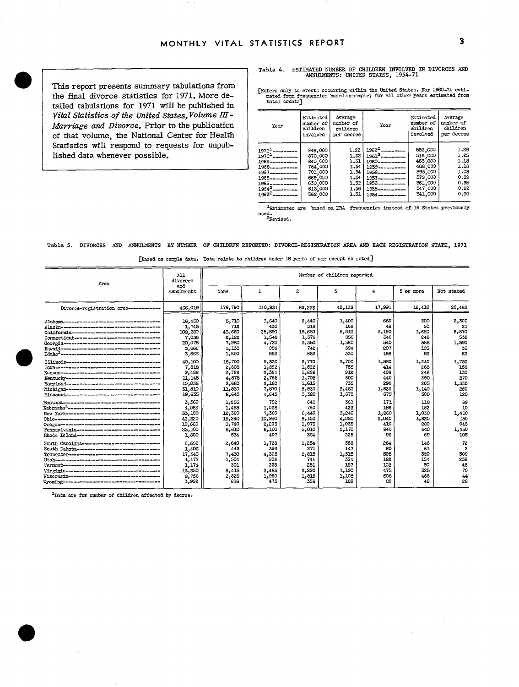This report presents summary tabulations from<br>the final divorce statistics for 1971, More detailed tabulations for 1971 will be published in *Marriage and Divorce*. Prior to the publication of that volume, the National Center for Health Statistics will respond to requests for unpublished data whenever possible. Vital Statistics of the United States, Volume III -

Table 4. ESTIMATED NUMBER OF CHILDREN INVOLVED IN DIVORCES AND<br>ANNOIMENTS: UNITED STATES, 1954-71

The final divorce statistics for 1971. More de- Frequencies based on sample; for all other years estimated from

| $10.1101$ cuplately $10.10$ and $177.1$ was 20 percented 20                                                                                             |                                                                                                                                                                                   |                                                                                                 |                                                |                                                                                                                                                                                                                                            |                                                                                                 |                                                                      |
|---------------------------------------------------------------------------------------------------------------------------------------------------------|-----------------------------------------------------------------------------------------------------------------------------------------------------------------------------------|-------------------------------------------------------------------------------------------------|------------------------------------------------|--------------------------------------------------------------------------------------------------------------------------------------------------------------------------------------------------------------------------------------------|-------------------------------------------------------------------------------------------------|----------------------------------------------------------------------|
| Vital Statistics of the United States, Volume III -<br>Marriage and Divorce. Prior to the publication<br>of that volume, the National Center for Health | Year                                                                                                                                                                              | Estimated<br>number of<br>children<br>involved                                                  | Average<br>number of<br>children<br>per decree | Year                                                                                                                                                                                                                                       | Estimated<br>number of<br>children<br>involved                                                  | Average<br>number of<br>children<br>per decree                       |
| Statistics will respond to requests for unpub-<br>lished data whenever possible.                                                                        | $19711$ ---------<br>$19702$ ---------<br>1969-----------<br>1968-----------<br>1967----------<br>1966-----------<br>1965-----------<br>$1964^2$ ----------<br>$1963^2$ --------- | 946,000<br>870,000<br>840,000<br>784,000<br>701,000<br>669,000<br>630,000<br>613,000<br>562,000 |                                                | $1.22 \mid 1962^2$ ________<br>$1.22 \mid 1961^2$ ---------<br>$1.31$   1960-----------<br>$1.34$   1959 - - - - - - - - - -<br>$1.34$   1953<br>$1.34$   1957-<br>$1.32$   1956----------<br>$1.36$   1955<br>$1.31$   $1954$ ----------- | 532,000<br>516,000<br>463.000<br>468,000<br>398,000<br>379,000<br>361,000<br>347,000<br>341,000 | 1.29<br>1.25<br>1.18<br>1.18<br>1.08<br>0.99<br>0.95<br>0.92<br>0.90 |
|                                                                                                                                                         |                                                                                                                                                                                   |                                                                                                 |                                                | <sup>1</sup> Estimates are based on DRA frequencies instead of 16 States previously                                                                                                                                                        |                                                                                                 |                                                                      |

used.<br><sup>2</sup>Revised.

#### Table 5. DIVORCES AND ANNULMENTS BY NUMBER OF CHILDRFN REPORTED: DIVORCE-REGISTRATION AREA AND EACH REGISTRATION STATE, 1971

|  | [Based on sample data. Data relate to children under 18 years of age except as noted] |
|--|---------------------------------------------------------------------------------------|

| Area                                                  | All<br>divorces   | Rumber of children reported |         |        |        |        |           |            |
|-------------------------------------------------------|-------------------|-----------------------------|---------|--------|--------|--------|-----------|------------|
|                                                       | and<br>annulments | None                        | ı       | 2      | 3      | 4      | 5 or more | Not stated |
| Divorce-registration area -----------                 | 466,019           | 178,790                     | 110,931 | 83,295 | 42,139 | 17,991 | 12,410    | 20,463     |
|                                                       | 16,450            | 5,710                       | 3,640   | 2,440  | 1,400  | 660    | 300       | 2,300      |
|                                                       | 1,745             | 712                         | 430     | 318    | 166    | 48     | 50        | 21         |
| California-se---------------------------------        | 108,280           | 43,660                      | 25,590  | 18,680 | 8,810  | 3,190  | 1,680     | 6,670      |
|                                                       | 7,036             | 2.122                       | 1.548   | 1,376  | 858    | 346    | 248       | 538        |
|                                                       | 20,075            | 7,960                       | 4.720   | 3,350  | 1,560  | 540    | 355       | 1,590      |
| Havni i-saassa-saassa-saasaanoonaanoonoonaano         | 3,662             | 1,133                       | 956     | 742    | 394    | 207    | 195       | 35         |
|                                                       | 3,666             | 1,500                       | 852     | 652    | 330    | 188    | 82        | 62         |
|                                                       | 10,100            | 15,700                      | 9,330   | 6,770  | 3,700  | 1,580  | 1,240     | 1,780      |
|                                                       | 7,818             | 2.808                       | 1,892   | 1,522  | 758    | 414    | 268       | 156        |
|                                                       | 9,488             | 3,722                       | 2,384   | 1,686  | 912    | 406    | 248       | 130        |
| Kentucky-naussa-naussa-naussa-naussa-naussa           | 11,145            | 4,875                       | 2,765   | 1,705  | 800    | 440    | 290       | 270        |
|                                                       | 10,035            | 3.680                       | 2,180   | 1.615  | 735    | 290    | 205       | 1.330      |
| Michigan-----------------------------------           | 31,810            | 11,830                      | 7,570   | 5.920  | 3,450  | 1,620  | 1,140     | 280        |
|                                                       | 19,635            | 8,640                       | 4,645   | 3,380  | 1,675  | 675    | 500       | 120        |
|                                                       | 3,569             | 1,255                       | 752     | 643    | 361    | 171    | 118       | 69         |
|                                                       | 4,056             | 1,458                       | 1,038   | 760    | 422    | 186    | 182       | 10         |
|                                                       | 33,100            | 12,320                      | 7,360   | 6,440  | 3,240  | 1,260  | 1,030     | 1,450      |
| $0\text{h}10$ -asuussa-asussa-annosasus-aannosanaasus | 42,220            | 15,240                      | 10,940  | 8,150  | 4.080  | 2,040  | 1,620     | 150        |
| Огегопенницинницинницинницинницинници                 | 10,680            | 3,740                       | 2,295   | 1,975  | 1,035  | 410    | 280       | 945        |
| Pennsylvania-------------------------------           | 25,100            | 8,810                       | 6,100   | 5,010  | 2,170  | 940    | 640       | 1,430      |
| Rhode Island------------------------------            | 1,800             | 534                         | 407     | 364    | 225    | 96     | 69        | 105        |
| South Carolina-----------------------------           | 6.662             | 2,640                       | 1,728   | 1,254  | 558    | 264    | 146       | 72         |
| South Dakota-----------------------------             | 1,403             | 449                         | 393     | 271    | 147    | 80     | 61        | 2          |
| Tennesseenseensesseensesseensesseensesse              | 17,340            | 7,430                       | 4,305   | 2.815  | 1.315  | 595    | 380       | 500        |
|                                                       | 4,172             | 1,504                       | 936     | 744    | 334    | 182    | 154       | 258        |
|                                                       | 1,174             | 301                         | 225     | 251    | 157    | 102    | 90        | 48         |
| Virginia-seconosesero-seconosesero-seconoses          | 13,250            | 5,415                       | 3,485   | 2,290  | 1,190  | 475    | 325       | 70         |
|                                                       | 8,756             | 2,826                       | 1,990   | 1,816  | 1,108  | 506    | 466       | 44         |
|                                                       | 1,992             | 816                         | 475     | 356    | 189    | 80     | 48        | 28         |

 $1$  Data are for number of children affected by decree.

 $\bullet$